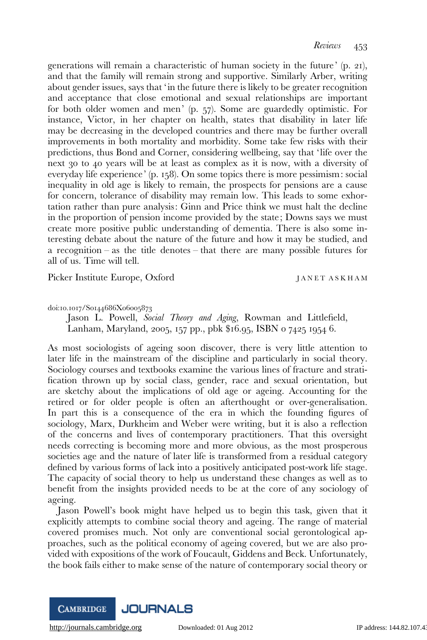generations will remain a characteristic of human society in the future' (p. 21), and that the family will remain strong and supportive. Similarly Arber, writing about gender issues, says that 'in the future there is likely to be greater recognition and acceptance that close emotional and sexual relationships are important for both older women and men' (p. 57). Some are guardedly optimistic. For instance, Victor, in her chapter on health, states that disability in later life may be decreasing in the developed countries and there may be further overall improvements in both mortality and morbidity. Some take few risks with their predictions, thus Bond and Corner, considering wellbeing, say that 'life over the next 30 to 40 years will be at least as complex as it is now, with a diversity of everyday life experience' (p. 158). On some topics there is more pessimism: social inequality in old age is likely to remain, the prospects for pensions are a cause for concern, tolerance of disability may remain low. This leads to some exhortation rather than pure analysis: Ginn and Price think we must halt the decline in the proportion of pension income provided by the state; Downs says we must create more positive public understanding of dementia. There is also some interesting debate about the nature of the future and how it may be studied, and a recognition – as the title denotes – that there are many possible futures for all of us. Time will tell.

Picker Institute Europe, Oxford JANET ASKHAM

doi:10.1017/S0144686X06005873

Jason L. Powell, Social Theory and Aging, Rowman and Littlefield, Lanham, Maryland, 2005, 157 pp., pbk \$16.95, ISBN 0 7425 1954 6.

As most sociologists of ageing soon discover, there is very little attention to later life in the mainstream of the discipline and particularly in social theory. Sociology courses and textbooks examine the various lines of fracture and stratification thrown up by social class, gender, race and sexual orientation, but are sketchy about the implications of old age or ageing. Accounting for the retired or for older people is often an afterthought or over-generalisation. In part this is a consequence of the era in which the founding figures of sociology, Marx, Durkheim and Weber were writing, but it is also a reflection of the concerns and lives of contemporary practitioners. That this oversight needs correcting is becoming more and more obvious, as the most prosperous societies age and the nature of later life is transformed from a residual category defined by various forms of lack into a positively anticipated post-work life stage. The capacity of social theory to help us understand these changes as well as to benefit from the insights provided needs to be at the core of any sociology of ageing.

Jason Powell's book might have helped us to begin this task, given that it explicitly attempts to combine social theory and ageing. The range of material covered promises much. Not only are conventional social gerontological approaches, such as the political economy of ageing covered, but we are also provided with expositions of the work of Foucault, Giddens and Beck. Unfortunately, the book fails either to make sense of the nature of contemporary social theory or

<http://journals.cambridge.org> Downloaded: 01 Aug 2012 IP address: 144.82.107.43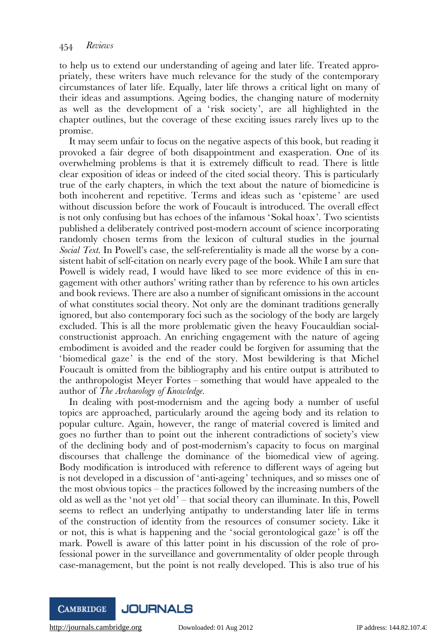to help us to extend our understanding of ageing and later life. Treated appropriately, these writers have much relevance for the study of the contemporary circumstances of later life. Equally, later life throws a critical light on many of their ideas and assumptions. Ageing bodies, the changing nature of modernity as well as the development of a ' risk society', are all highlighted in the chapter outlines, but the coverage of these exciting issues rarely lives up to the promise.

It may seem unfair to focus on the negative aspects of this book, but reading it provoked a fair degree of both disappointment and exasperation. One of its overwhelming problems is that it is extremely difficult to read. There is little clear exposition of ideas or indeed of the cited social theory. This is particularly true of the early chapters, in which the text about the nature of biomedicine is both incoherent and repetitive. Terms and ideas such as 'episteme' are used without discussion before the work of Foucault is introduced. The overall effect is not only confusing but has echoes of the infamous 'Sokal hoax'. Two scientists published a deliberately contrived post-modern account of science incorporating randomly chosen terms from the lexicon of cultural studies in the journal Social Text. In Powell's case, the self-referentiality is made all the worse by a consistent habit of self-citation on nearly every page of the book. While I am sure that Powell is widely read, I would have liked to see more evidence of this in engagement with other authors' writing rather than by reference to his own articles and book reviews. There are also a number of significant omissions in the account of what constitutes social theory. Not only are the dominant traditions generally ignored, but also contemporary foci such as the sociology of the body are largely excluded. This is all the more problematic given the heavy Foucauldian socialconstructionist approach. An enriching engagement with the nature of ageing embodiment is avoided and the reader could be forgiven for assuming that the 'biomedical gaze' is the end of the story. Most bewildering is that Michel Foucault is omitted from the bibliography and his entire output is attributed to the anthropologist Meyer Fortes – something that would have appealed to the author of The Archaeology of Knowledge.

In dealing with post-modernism and the ageing body a number of useful topics are approached, particularly around the ageing body and its relation to popular culture. Again, however, the range of material covered is limited and goes no further than to point out the inherent contradictions of society's view of the declining body and of post-modernism's capacity to focus on marginal discourses that challenge the dominance of the biomedical view of ageing. Body modification is introduced with reference to different ways of ageing but is not developed in a discussion of 'anti-ageing' techniques, and so misses one of the most obvious topics – the practices followed by the increasing numbers of the old as well as the 'not yet old' – that social theory can illuminate. In this, Powell seems to reflect an underlying antipathy to understanding later life in terms of the construction of identity from the resources of consumer society. Like it or not, this is what is happening and the ' social gerontological gaze' is off the mark. Powell is aware of this latter point in his discussion of the role of professional power in the surveillance and governmentality of older people through case-management, but the point is not really developed. This is also true of his